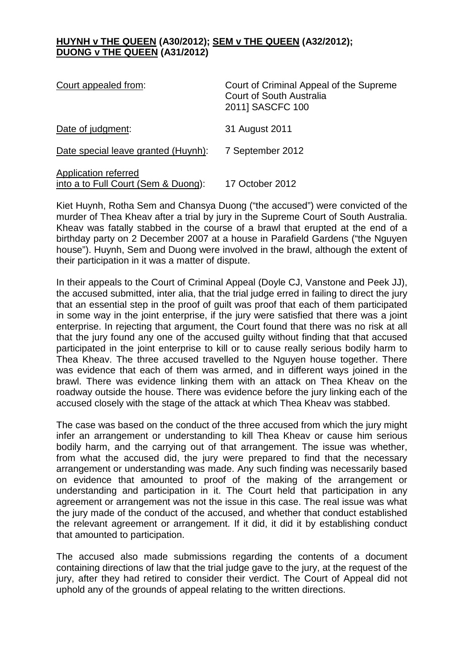## **HUYNH v THE QUEEN (A30/2012); SEM v THE QUEEN (A32/2012); DUONG v THE QUEEN (A31/2012)**

| Court appealed from:                                        | Court of Criminal Appeal of the Supreme<br><b>Court of South Australia</b><br>2011] SASCFC 100 |
|-------------------------------------------------------------|------------------------------------------------------------------------------------------------|
| Date of judgment:                                           | 31 August 2011                                                                                 |
| Date special leave granted (Huynh):                         | 7 September 2012                                                                               |
| Application referred<br>into a to Full Court (Sem & Duong): | 17 October 2012                                                                                |

Kiet Huynh, Rotha Sem and Chansya Duong ("the accused") were convicted of the murder of Thea Kheav after a trial by jury in the Supreme Court of South Australia. Kheav was fatally stabbed in the course of a brawl that erupted at the end of a birthday party on 2 December 2007 at a house in Parafield Gardens ("the Nguyen house"). Huynh, Sem and Duong were involved in the brawl, although the extent of their participation in it was a matter of dispute.

In their appeals to the Court of Criminal Appeal (Doyle CJ, Vanstone and Peek JJ), the accused submitted, inter alia, that the trial judge erred in failing to direct the jury that an essential step in the proof of guilt was proof that each of them participated in some way in the joint enterprise, if the jury were satisfied that there was a joint enterprise. In rejecting that argument, the Court found that there was no risk at all that the jury found any one of the accused guilty without finding that that accused participated in the joint enterprise to kill or to cause really serious bodily harm to Thea Kheav. The three accused travelled to the Nguyen house together. There was evidence that each of them was armed, and in different ways joined in the brawl. There was evidence linking them with an attack on Thea Kheav on the roadway outside the house. There was evidence before the jury linking each of the accused closely with the stage of the attack at which Thea Kheav was stabbed.

The case was based on the conduct of the three accused from which the jury might infer an arrangement or understanding to kill Thea Kheav or cause him serious bodily harm, and the carrying out of that arrangement. The issue was whether, from what the accused did, the jury were prepared to find that the necessary arrangement or understanding was made. Any such finding was necessarily based on evidence that amounted to proof of the making of the arrangement or understanding and participation in it. The Court held that participation in any agreement or arrangement was not the issue in this case. The real issue was what the jury made of the conduct of the accused, and whether that conduct established the relevant agreement or arrangement. If it did, it did it by establishing conduct that amounted to participation.

The accused also made submissions regarding the contents of a document containing directions of law that the trial judge gave to the jury, at the request of the jury, after they had retired to consider their verdict. The Court of Appeal did not uphold any of the grounds of appeal relating to the written directions.